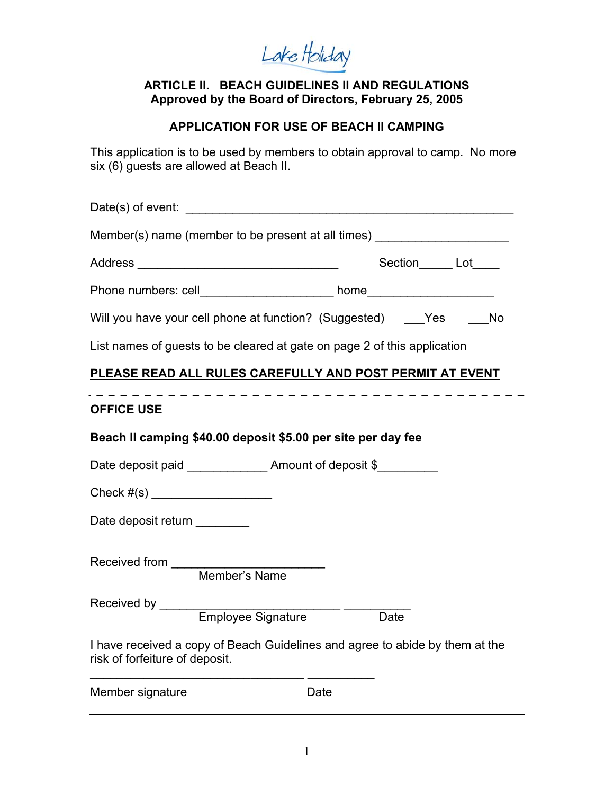Lake Holiday

#### **ARTICLE II. BEACH GUIDELINES II AND REGULATIONS Approved by the Board of Directors, February 25, 2005**

### **APPLICATION FOR USE OF BEACH II CAMPING**

This application is to be used by members to obtain approval to camp. No more six (6) guests are allowed at Beach II.

| Member(s) name (member to be present at all times) _____________________________                               |                        |  |
|----------------------------------------------------------------------------------------------------------------|------------------------|--|
|                                                                                                                | Section______ Lot_____ |  |
| Phone numbers: cell________________________ home________________________________                               |                        |  |
| Will you have your cell phone at function? (Suggested) Yes No                                                  |                        |  |
| List names of guests to be cleared at gate on page 2 of this application                                       |                        |  |
| PLEASE READ ALL RULES CAREFULLY AND POST PERMIT AT EVENT                                                       |                        |  |
| <b>OFFICE USE</b>                                                                                              |                        |  |
| Beach II camping \$40.00 deposit \$5.00 per site per day fee                                                   |                        |  |
| Date deposit paid ________________ Amount of deposit \$__________                                              |                        |  |
| Check #(s) _______________________                                                                             |                        |  |
| Date deposit return ________                                                                                   |                        |  |
|                                                                                                                |                        |  |
|                                                                                                                | Date                   |  |
| I have received a copy of Beach Guidelines and agree to abide by them at the<br>risk of forfeiture of deposit. |                        |  |
| Member signature                                                                                               | Date                   |  |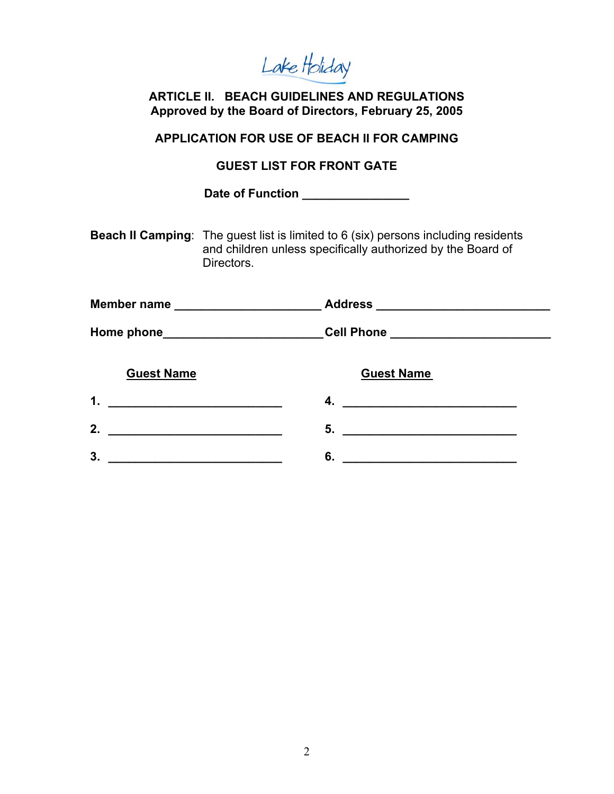Lake Holiday

**ARTICLE II. BEACH GUIDELINES AND REGULATIONS Approved by the Board of Directors, February 25, 2005** 

**APPLICATION FOR USE OF BEACH II FOR CAMPING**

**GUEST LIST FOR FRONT GATE** 

Date of Function \_\_\_\_\_\_\_\_\_\_\_\_\_\_\_\_\_

**Beach II Camping**: The guest list is limited to 6 (six) persons including residents and children unless specifically authorized by the Board of Directors.

| <b>Member name</b>                                                                                                         | Address ______________________________ |
|----------------------------------------------------------------------------------------------------------------------------|----------------------------------------|
|                                                                                                                            | Cell Phone __________________________  |
| <b>Guest Name</b>                                                                                                          | <b>Guest Name</b>                      |
| 1.<br><u> 1989 - Johann Barbara, martin da kasas a shekara tsa na shekara tsa na shekara tsa na shekara tsa na shekara</u> | 4.                                     |
| 2.                                                                                                                         | 5.                                     |
| 3.                                                                                                                         | 6.                                     |